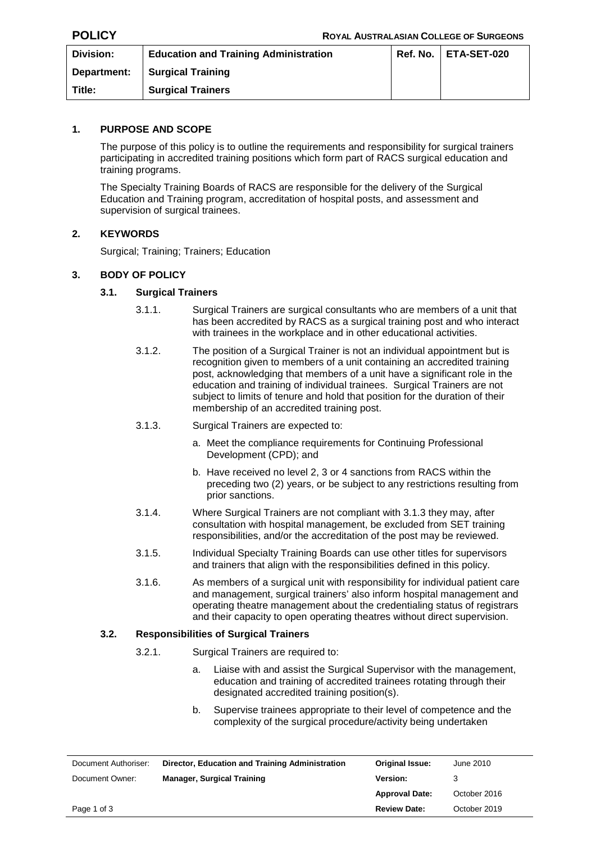| Division:   | <b>Education and Training Administration</b> | Ref. No.   ETA-SET-020 |
|-------------|----------------------------------------------|------------------------|
| Department: | <b>Surgical Training</b>                     |                        |
| Title:      | <b>Surgical Trainers</b>                     |                        |

## **1. PURPOSE AND SCOPE**

The purpose of this policy is to outline the requirements and responsibility for surgical trainers participating in accredited training positions which form part of RACS surgical education and training programs.

The Specialty Training Boards of RACS are responsible for the delivery of the Surgical Education and Training program, accreditation of hospital posts, and assessment and supervision of surgical trainees.

## **2. KEYWORDS**

Surgical; Training; Trainers; Education

## **3. BODY OF POLICY**

#### **3.1. Surgical Trainers**

- 3.1.1. Surgical Trainers are surgical consultants who are members of a unit that has been accredited by RACS as a surgical training post and who interact with trainees in the workplace and in other educational activities.
- 3.1.2. The position of a Surgical Trainer is not an individual appointment but is recognition given to members of a unit containing an accredited training post, acknowledging that members of a unit have a significant role in the education and training of individual trainees. Surgical Trainers are not subject to limits of tenure and hold that position for the duration of their membership of an accredited training post.
- 3.1.3. Surgical Trainers are expected to:
	- a. Meet the compliance requirements for Continuing Professional Development (CPD); and
	- b. Have received no level 2, 3 or 4 sanctions from RACS within the preceding two (2) years, or be subject to any restrictions resulting from prior sanctions.
- 3.1.4. Where Surgical Trainers are not compliant with 3.1.3 they may, after consultation with hospital management, be excluded from SET training responsibilities, and/or the accreditation of the post may be reviewed.
- 3.1.5. Individual Specialty Training Boards can use other titles for supervisors and trainers that align with the responsibilities defined in this policy.
- 3.1.6. As members of a surgical unit with responsibility for individual patient care and management, surgical trainers' also inform hospital management and operating theatre management about the credentialing status of registrars and their capacity to open operating theatres without direct supervision.

## **3.2. Responsibilities of Surgical Trainers**

- 3.2.1. Surgical Trainers are required to:
	- a. Liaise with and assist the Surgical Supervisor with the management, education and training of accredited trainees rotating through their designated accredited training position(s).
	- b. Supervise trainees appropriate to their level of competence and the complexity of the surgical procedure/activity being undertaken

| Document Authoriser: | Director, Education and Training Administration | Original Issue:       | June 2010    |
|----------------------|-------------------------------------------------|-----------------------|--------------|
| Document Owner:      | <b>Manager, Surgical Training</b>               | <b>Version:</b>       |              |
|                      |                                                 | <b>Approval Date:</b> | October 2016 |
| Page 1 of 3          |                                                 | <b>Review Date:</b>   | October 2019 |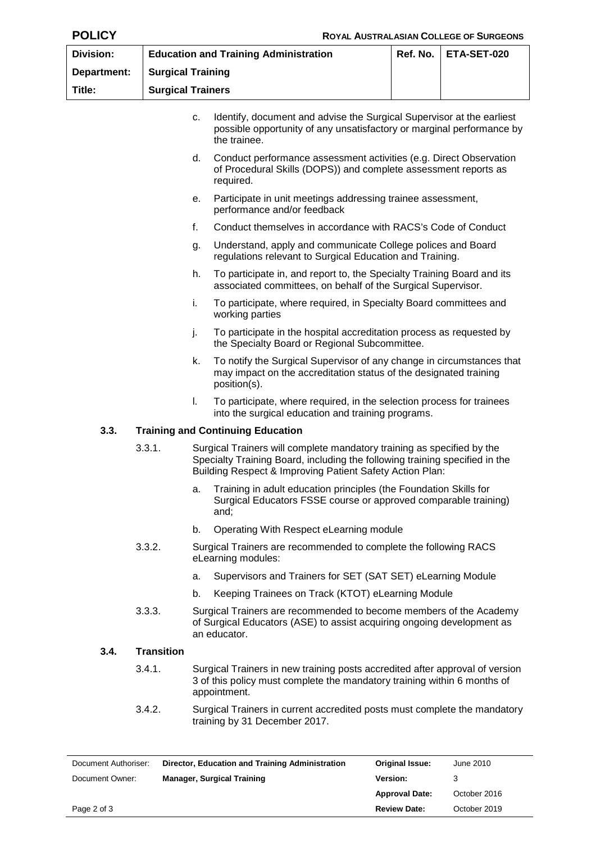| <b>Division:</b> |                          |                                                                                                                                                                                                                   | <b>Education and Training Administration</b>                                                                                                                             | Ref. No. | ETA-SET-020 |  |
|------------------|--------------------------|-------------------------------------------------------------------------------------------------------------------------------------------------------------------------------------------------------------------|--------------------------------------------------------------------------------------------------------------------------------------------------------------------------|----------|-------------|--|
| Department:      |                          | <b>Surgical Training</b>                                                                                                                                                                                          |                                                                                                                                                                          |          |             |  |
| Title:           | <b>Surgical Trainers</b> |                                                                                                                                                                                                                   |                                                                                                                                                                          |          |             |  |
|                  |                          | Identify, document and advise the Surgical Supervisor at the earliest<br>C.<br>possible opportunity of any unsatisfactory or marginal performance by<br>the trainee.                                              |                                                                                                                                                                          |          |             |  |
|                  |                          | d.                                                                                                                                                                                                                | Conduct performance assessment activities (e.g. Direct Observation<br>of Procedural Skills (DOPS)) and complete assessment reports as<br>required.                       |          |             |  |
|                  |                          | е.                                                                                                                                                                                                                | Participate in unit meetings addressing trainee assessment,<br>performance and/or feedback                                                                               |          |             |  |
|                  |                          | f.                                                                                                                                                                                                                | Conduct themselves in accordance with RACS's Code of Conduct                                                                                                             |          |             |  |
|                  |                          | g.                                                                                                                                                                                                                | Understand, apply and communicate College polices and Board<br>regulations relevant to Surgical Education and Training.                                                  |          |             |  |
|                  |                          | h.                                                                                                                                                                                                                | To participate in, and report to, the Specialty Training Board and its<br>associated committees, on behalf of the Surgical Supervisor.                                   |          |             |  |
|                  |                          | i.                                                                                                                                                                                                                | To participate, where required, in Specialty Board committees and<br>working parties                                                                                     |          |             |  |
|                  |                          | j.                                                                                                                                                                                                                | To participate in the hospital accreditation process as requested by<br>the Specialty Board or Regional Subcommittee.                                                    |          |             |  |
|                  |                          | k.                                                                                                                                                                                                                | To notify the Surgical Supervisor of any change in circumstances that<br>may impact on the accreditation status of the designated training<br>position(s).               |          |             |  |
|                  |                          | I.                                                                                                                                                                                                                | To participate, where required, in the selection process for trainees<br>into the surgical education and training programs.                                              |          |             |  |
| 3.3.             |                          |                                                                                                                                                                                                                   | <b>Training and Continuing Education</b>                                                                                                                                 |          |             |  |
|                  | 3.3.1.                   | Surgical Trainers will complete mandatory training as specified by the<br>Specialty Training Board, including the following training specified in the<br>Building Respect & Improving Patient Safety Action Plan: |                                                                                                                                                                          |          |             |  |
|                  |                          |                                                                                                                                                                                                                   | a. Training in adult education principles (the Foundation Skills for<br>Surgical Educators FSSE course or approved comparable training)<br>and;                          |          |             |  |
|                  |                          | b.                                                                                                                                                                                                                | Operating With Respect eLearning module                                                                                                                                  |          |             |  |
|                  | 3.3.2.                   | Surgical Trainers are recommended to complete the following RACS<br>eLearning modules:                                                                                                                            |                                                                                                                                                                          |          |             |  |
|                  |                          | a.                                                                                                                                                                                                                | Supervisors and Trainers for SET (SAT SET) eLearning Module                                                                                                              |          |             |  |
|                  |                          | b.                                                                                                                                                                                                                | Keeping Trainees on Track (KTOT) eLearning Module                                                                                                                        |          |             |  |
|                  | 3.3.3.                   |                                                                                                                                                                                                                   | Surgical Trainers are recommended to become members of the Academy<br>of Surgical Educators (ASE) to assist acquiring ongoing development as<br>an educator.             |          |             |  |
| 3.4.             | <b>Transition</b>        |                                                                                                                                                                                                                   |                                                                                                                                                                          |          |             |  |
|                  | 3.4.1.                   |                                                                                                                                                                                                                   | Surgical Trainers in new training posts accredited after approval of version<br>3 of this policy must complete the mandatory training within 6 months of<br>appointment. |          |             |  |

3.4.2. Surgical Trainers in current accredited posts must complete the mandatory training by 31 December 2017.

| Document Authoriser: | Director, Education and Training Administration | <b>Original Issue:</b> | June 2010    |
|----------------------|-------------------------------------------------|------------------------|--------------|
| Document Owner:      | <b>Manager, Surgical Training</b>               | <b>Version:</b>        |              |
|                      |                                                 | <b>Approval Date:</b>  | October 2016 |
| Page 2 of 3          |                                                 | <b>Review Date:</b>    | October 2019 |